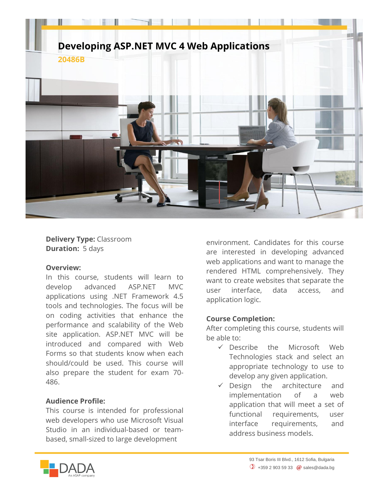

**Delivery Type:** Classroom **Duration:** 5 days

## **Overview:**

In this course, students will learn to develop advanced ASP.NET MVC applications using .NET Framework 4.5 tools and technologies. The focus will be on coding activities that enhance the performance and scalability of the Web site application. ASP.NET MVC will be introduced and compared with Web Forms so that students know when each should/could be used. This course will also prepare the student for exam 70- 486.

## **Audience Profile:**

This course is intended for professional web developers who use Microsoft Visual Studio in an individual-based or teambased, small-sized to large development

environment. Candidates for this course are interested in developing advanced web applications and want to manage the rendered HTML comprehensively. They want to create websites that separate the user interface, data access, and application logic.

## **Course Completion:**

After completing this course, students will be able to:

- $\checkmark$  Describe the Microsoft Web Technologies stack and select an appropriate technology to use to develop any given application.
- $\checkmark$  Design the architecture and implementation of a web application that will meet a set of functional requirements, user interface requirements, and address business models.